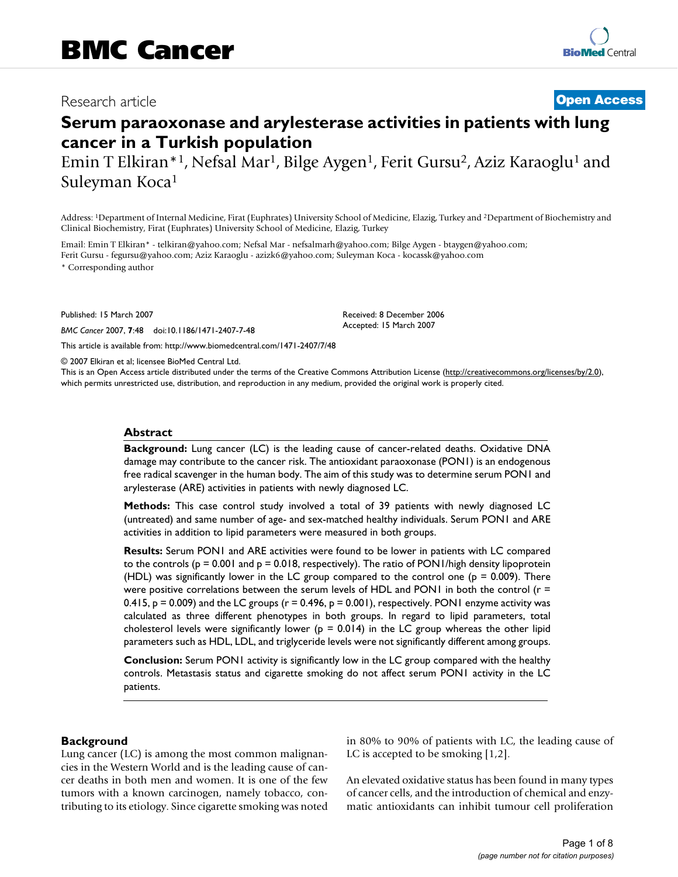# Research article **[Open Access](http://www.biomedcentral.com/info/about/charter/)**

# **Serum paraoxonase and arylesterase activities in patients with lung cancer in a Turkish population**

Emin T Elkiran\*<sup>1</sup>, Nefsal Mar<sup>1</sup>, Bilge Aygen<sup>1</sup>, Ferit Gursu<sup>2</sup>, Aziz Karaoglu<sup>1</sup> and Suleyman Koca1

Address: 1Department of Internal Medicine, Firat (Euphrates) University School of Medicine, Elazig, Turkey and 2Department of Biochemistry and Clinical Biochemistry, Firat (Euphrates) University School of Medicine, Elazig, Turkey

Email: Emin T Elkiran\* - telkiran@yahoo.com; Nefsal Mar - nefsalmarh@yahoo.com; Bilge Aygen - btaygen@yahoo.com; Ferit Gursu - fegursu@yahoo.com; Aziz Karaoglu - azizk6@yahoo.com; Suleyman Koca - kocassk@yahoo.com

\* Corresponding author

Published: 15 March 2007

*BMC Cancer* 2007, **7**:48 doi:10.1186/1471-2407-7-48

[This article is available from: http://www.biomedcentral.com/1471-2407/7/48](http://www.biomedcentral.com/1471-2407/7/48)

© 2007 Elkiran et al; licensee BioMed Central Ltd.

This is an Open Access article distributed under the terms of the Creative Commons Attribution License [\(http://creativecommons.org/licenses/by/2.0\)](http://creativecommons.org/licenses/by/2.0), which permits unrestricted use, distribution, and reproduction in any medium, provided the original work is properly cited.

Received: 8 December 2006 Accepted: 15 March 2007

#### **Abstract**

**Background:** Lung cancer (LC) is the leading cause of cancer-related deaths. Oxidative DNA damage may contribute to the cancer risk. The antioxidant paraoxonase (PON1) is an endogenous free radical scavenger in the human body. The aim of this study was to determine serum PON1 and arylesterase (ARE) activities in patients with newly diagnosed LC.

**Methods:** This case control study involved a total of 39 patients with newly diagnosed LC (untreated) and same number of age- and sex-matched healthy individuals. Serum PON1 and ARE activities in addition to lipid parameters were measured in both groups.

**Results:** Serum PON1 and ARE activities were found to be lower in patients with LC compared to the controls ( $p = 0.001$  and  $p = 0.018$ , respectively). The ratio of PON1/high density lipoprotein (HDL) was significantly lower in the LC group compared to the control one ( $p = 0.009$ ). There were positive correlations between the serum levels of HDL and PON1 in both the control ( $r =$ 0.415,  $p = 0.009$ ) and the LC groups ( $r = 0.496$ ,  $p = 0.001$ ), respectively. PON1 enzyme activity was calculated as three different phenotypes in both groups. In regard to lipid parameters, total cholesterol levels were significantly lower ( $p = 0.014$ ) in the LC group whereas the other lipid parameters such as HDL, LDL, and triglyceride levels were not significantly different among groups.

**Conclusion:** Serum PON1 activity is significantly low in the LC group compared with the healthy controls. Metastasis status and cigarette smoking do not affect serum PON1 activity in the LC patients.

#### **Background**

Lung cancer (LC) is among the most common malignancies in the Western World and is the leading cause of cancer deaths in both men and women. It is one of the few tumors with a known carcinogen, namely tobacco, contributing to its etiology. Since cigarette smoking was noted in 80% to 90% of patients with LC, the leading cause of LC is accepted to be smoking [1,2].

An elevated oxidative status has been found in many types of cancer cells, and the introduction of chemical and enzymatic antioxidants can inhibit tumour cell proliferation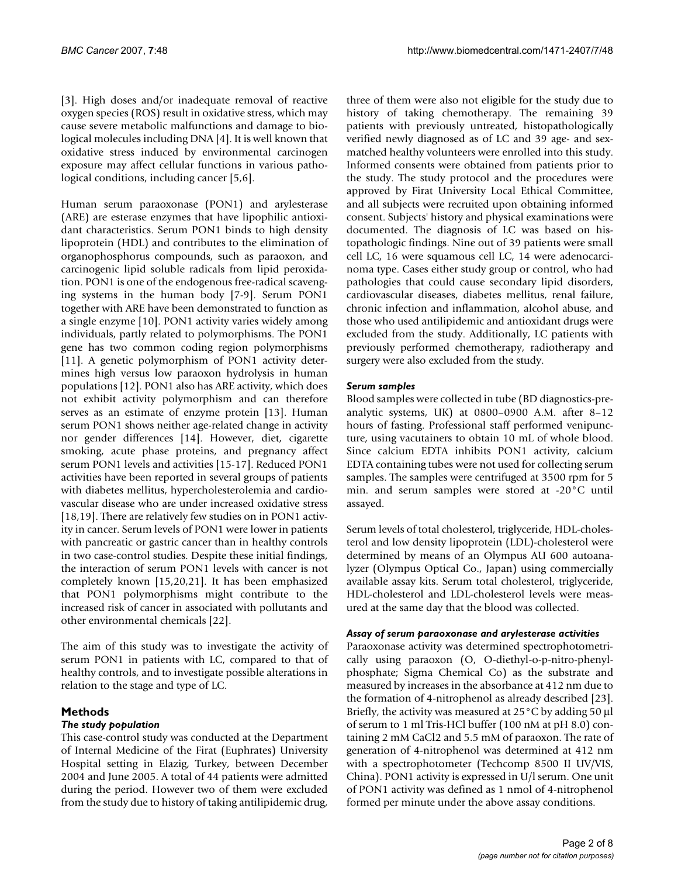[3]. High doses and/or inadequate removal of reactive oxygen species (ROS) result in oxidative stress, which may cause severe metabolic malfunctions and damage to biological molecules including DNA [4]. It is well known that oxidative stress induced by environmental carcinogen exposure may affect cellular functions in various pathological conditions, including cancer [5,6].

Human serum paraoxonase (PON1) and arylesterase (ARE) are esterase enzymes that have lipophilic antioxidant characteristics. Serum PON1 binds to high density lipoprotein (HDL) and contributes to the elimination of organophosphorus compounds, such as paraoxon, and carcinogenic lipid soluble radicals from lipid peroxidation. PON1 is one of the endogenous free-radical scavenging systems in the human body [7-9]. Serum PON1 together with ARE have been demonstrated to function as a single enzyme [10]. PON1 activity varies widely among individuals, partly related to polymorphisms. The PON1 gene has two common coding region polymorphisms [11]. A genetic polymorphism of PON1 activity determines high versus low paraoxon hydrolysis in human populations [12]. PON1 also has ARE activity, which does not exhibit activity polymorphism and can therefore serves as an estimate of enzyme protein [13]. Human serum PON1 shows neither age-related change in activity nor gender differences [14]. However, diet, cigarette smoking, acute phase proteins, and pregnancy affect serum PON1 levels and activities [15-17]. Reduced PON1 activities have been reported in several groups of patients with diabetes mellitus, hypercholesterolemia and cardiovascular disease who are under increased oxidative stress [18,19]. There are relatively few studies on in PON1 activity in cancer. Serum levels of PON1 were lower in patients with pancreatic or gastric cancer than in healthy controls in two case-control studies. Despite these initial findings, the interaction of serum PON1 levels with cancer is not completely known [15,20,21]. It has been emphasized that PON1 polymorphisms might contribute to the increased risk of cancer in associated with pollutants and other environmental chemicals [22].

The aim of this study was to investigate the activity of serum PON1 in patients with LC, compared to that of healthy controls, and to investigate possible alterations in relation to the stage and type of LC.

# **Methods**

## *The study population*

This case-control study was conducted at the Department of Internal Medicine of the Firat (Euphrates) University Hospital setting in Elazig, Turkey, between December 2004 and June 2005. A total of 44 patients were admitted during the period. However two of them were excluded from the study due to history of taking antilipidemic drug,

three of them were also not eligible for the study due to history of taking chemotherapy. The remaining 39 patients with previously untreated, histopathologically verified newly diagnosed as of LC and 39 age- and sexmatched healthy volunteers were enrolled into this study. Informed consents were obtained from patients prior to the study. The study protocol and the procedures were approved by Firat University Local Ethical Committee, and all subjects were recruited upon obtaining informed consent. Subjects' history and physical examinations were documented. The diagnosis of LC was based on histopathologic findings. Nine out of 39 patients were small cell LC, 16 were squamous cell LC, 14 were adenocarcinoma type. Cases either study group or control, who had pathologies that could cause secondary lipid disorders, cardiovascular diseases, diabetes mellitus, renal failure, chronic infection and inflammation, alcohol abuse, and those who used antilipidemic and antioxidant drugs were excluded from the study. Additionally, LC patients with previously performed chemotherapy, radiotherapy and surgery were also excluded from the study.

## *Serum samples*

Blood samples were collected in tube (BD diagnostics-preanalytic systems, UK) at 0800–0900 A.M. after 8–12 hours of fasting. Professional staff performed venipuncture, using vacutainers to obtain 10 mL of whole blood. Since calcium EDTA inhibits PON1 activity, calcium EDTA containing tubes were not used for collecting serum samples. The samples were centrifuged at 3500 rpm for 5 min. and serum samples were stored at -20°C until assayed.

Serum levels of total cholesterol, triglyceride, HDL-cholesterol and low density lipoprotein (LDL)-cholesterol were determined by means of an Olympus AU 600 autoanalyzer (Olympus Optical Co., Japan) using commercially available assay kits. Serum total cholesterol, triglyceride, HDL-cholesterol and LDL-cholesterol levels were measured at the same day that the blood was collected.

## *Assay of serum paraoxonase and arylesterase activities*

Paraoxonase activity was determined spectrophotometrically using paraoxon (O, O-diethyl-o-p-nitro-phenylphosphate; Sigma Chemical Co) as the substrate and measured by increases in the absorbance at 412 nm due to the formation of 4-nitrophenol as already described [23]. Briefly, the activity was measured at 25°C by adding 50 μl of serum to 1 ml Tris-HCl buffer (100 nM at pH 8.0) containing 2 mM CaCl2 and 5.5 mM of paraoxon. The rate of generation of 4-nitrophenol was determined at 412 nm with a spectrophotometer (Techcomp 8500 II UV/VIS, China). PON1 activity is expressed in U/l serum. One unit of PON1 activity was defined as 1 nmol of 4-nitrophenol formed per minute under the above assay conditions.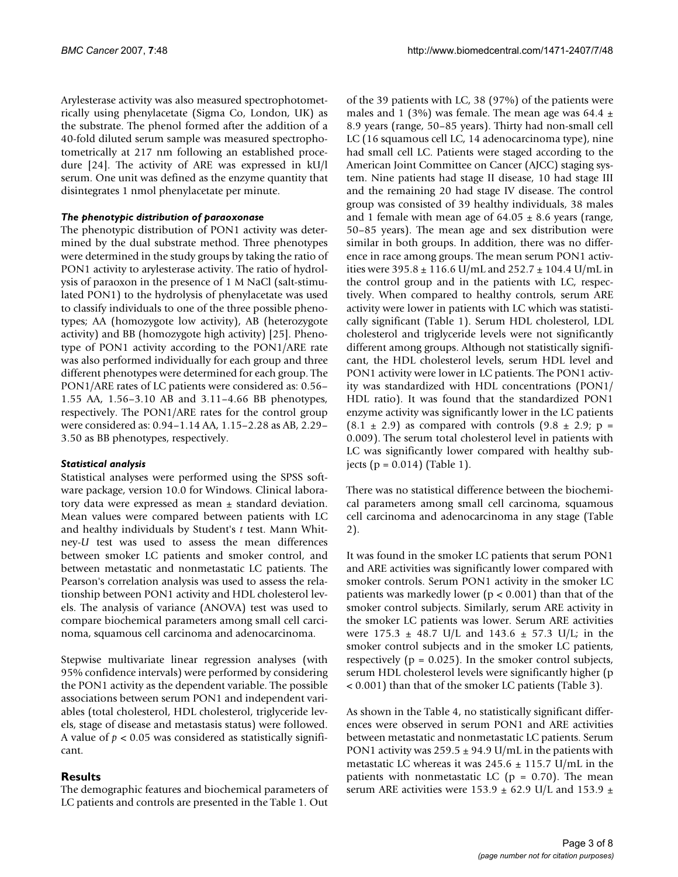Arylesterase activity was also measured spectrophotometrically using phenylacetate (Sigma Co, London, UK) as the substrate. The phenol formed after the addition of a 40-fold diluted serum sample was measured spectrophotometrically at 217 nm following an established procedure [24]. The activity of ARE was expressed in kU/l serum. One unit was defined as the enzyme quantity that disintegrates 1 nmol phenylacetate per minute.

#### *The phenotypic distribution of paraoxonase*

The phenotypic distribution of PON1 activity was determined by the dual substrate method. Three phenotypes were determined in the study groups by taking the ratio of PON1 activity to arylesterase activity. The ratio of hydrolysis of paraoxon in the presence of 1 M NaCl (salt-stimulated PON1) to the hydrolysis of phenylacetate was used to classify individuals to one of the three possible phenotypes; AA (homozygote low activity), AB (heterozygote activity) and BB (homozygote high activity) [25]. Phenotype of PON1 activity according to the PON1/ARE rate was also performed individually for each group and three different phenotypes were determined for each group. The PON1/ARE rates of LC patients were considered as: 0.56– 1.55 AA, 1.56–3.10 AB and 3.11–4.66 BB phenotypes, respectively. The PON1/ARE rates for the control group were considered as: 0.94–1.14 AA, 1.15–2.28 as AB, 2.29– 3.50 as BB phenotypes, respectively.

## *Statistical analysis*

Statistical analyses were performed using the SPSS software package, version 10.0 for Windows. Clinical laboratory data were expressed as mean  $\pm$  standard deviation. Mean values were compared between patients with LC and healthy individuals by Student's *t* test. Mann Whitney-*U* test was used to assess the mean differences between smoker LC patients and smoker control, and between metastatic and nonmetastatic LC patients. The Pearson's correlation analysis was used to assess the relationship between PON1 activity and HDL cholesterol levels. The analysis of variance (ANOVA) test was used to compare biochemical parameters among small cell carcinoma, squamous cell carcinoma and adenocarcinoma.

Stepwise multivariate linear regression analyses (with 95% confidence intervals) were performed by considering the PON1 activity as the dependent variable. The possible associations between serum PON1 and independent variables (total cholesterol, HDL cholesterol, triglyceride levels, stage of disease and metastasis status) were followed. A value of *p* < 0.05 was considered as statistically significant.

## **Results**

The demographic features and biochemical parameters of LC patients and controls are presented in the Table 1. Out of the 39 patients with LC, 38 (97%) of the patients were males and 1 (3%) was female. The mean age was 64.4  $\pm$ 8.9 years (range, 50–85 years). Thirty had non-small cell LC (16 squamous cell LC, 14 adenocarcinoma type), nine had small cell LC. Patients were staged according to the American Joint Committee on Cancer (AJCC) staging system. Nine patients had stage II disease, 10 had stage III and the remaining 20 had stage IV disease. The control group was consisted of 39 healthy individuals, 38 males and 1 female with mean age of  $64.05 \pm 8.6$  years (range, 50–85 years). The mean age and sex distribution were similar in both groups. In addition, there was no difference in race among groups. The mean serum PON1 activities were  $395.8 \pm 116.6$  U/mL and  $252.7 \pm 104.4$  U/mL in the control group and in the patients with LC, respectively. When compared to healthy controls, serum ARE activity were lower in patients with LC which was statistically significant (Table 1). Serum HDL cholesterol, LDL cholesterol and triglyceride levels were not significantly different among groups. Although not statistically significant, the HDL cholesterol levels, serum HDL level and PON1 activity were lower in LC patients. The PON1 activity was standardized with HDL concentrations (PON1/ HDL ratio). It was found that the standardized PON1 enzyme activity was significantly lower in the LC patients  $(8.1 \pm 2.9)$  as compared with controls  $(9.8 \pm 2.9; p =$ 0.009). The serum total cholesterol level in patients with LC was significantly lower compared with healthy subjects ( $p = 0.014$ ) (Table 1).

There was no statistical difference between the biochemical parameters among small cell carcinoma, squamous cell carcinoma and adenocarcinoma in any stage (Table 2).

It was found in the smoker LC patients that serum PON1 and ARE activities was significantly lower compared with smoker controls. Serum PON1 activity in the smoker LC patients was markedly lower ( $p < 0.001$ ) than that of the smoker control subjects. Similarly, serum ARE activity in the smoker LC patients was lower. Serum ARE activities were  $175.3 \pm 48.7$  U/L and  $143.6 \pm 57.3$  U/L; in the smoker control subjects and in the smoker LC patients, respectively ( $p = 0.025$ ). In the smoker control subjects, serum HDL cholesterol levels were significantly higher (p < 0.001) than that of the smoker LC patients (Table 3).

As shown in the Table 4, no statistically significant differences were observed in serum PON1 and ARE activities between metastatic and nonmetastatic LC patients. Serum PON1 activity was  $259.5 \pm 94.9$  U/mL in the patients with metastatic LC whereas it was  $245.6 \pm 115.7$  U/mL in the patients with nonmetastatic LC ( $p = 0.70$ ). The mean serum ARE activities were 153.9  $\pm$  62.9 U/L and 153.9  $\pm$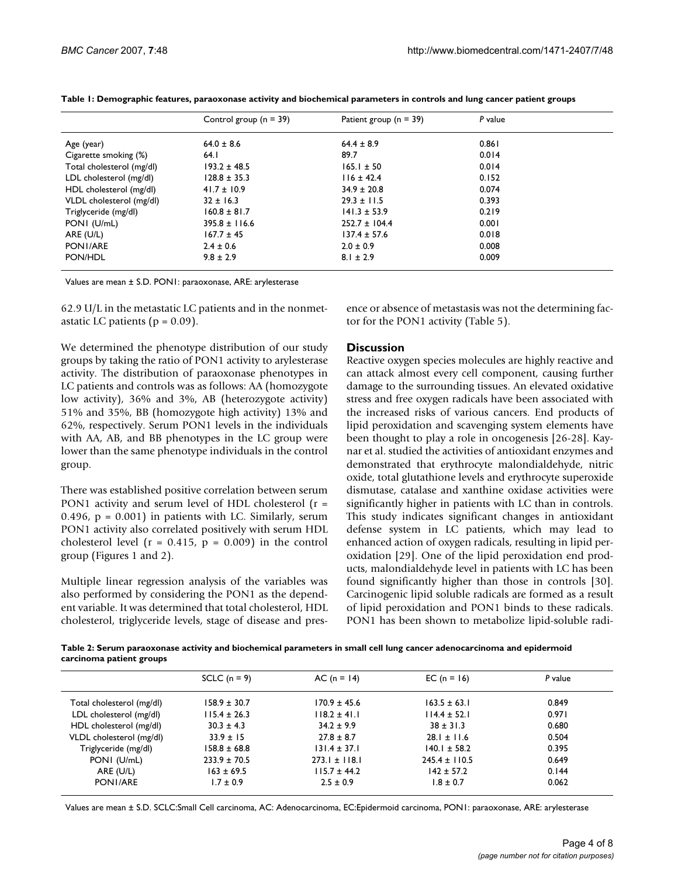|                           | Control group $(n = 39)$ | Patient group ( $n = 39$ ) | P value |  |
|---------------------------|--------------------------|----------------------------|---------|--|
| Age (year)                | $64.0 \pm 8.6$           | $64.4 \pm 8.9$             | 0.861   |  |
| Cigarette smoking (%)     | 64.1                     | 89.7                       | 0.014   |  |
| Total cholesterol (mg/dl) | $193.2 \pm 48.5$         | $165.1 \pm 50$             | 0.014   |  |
| LDL cholesterol (mg/dl)   | $128.8 \pm 35.3$         | $116 \pm 42.4$             | 0.152   |  |
| HDL cholesterol (mg/dl)   | $41.7 \pm 10.9$          | $34.9 \pm 20.8$            | 0.074   |  |
| VLDL cholesterol (mg/dl)  | $32 \pm 16.3$            | $29.3 \pm 11.5$            | 0.393   |  |
| Triglyceride (mg/dl)      | $160.8 \pm 81.7$         | $141.3 \pm 53.9$           | 0.219   |  |
| PONI (U/mL)               | $395.8 \pm 116.6$        | $252.7 \pm 104.4$          | 0.001   |  |
| ARE (U/L)                 | $167.7 \pm 45$           | $137.4 \pm 57.6$           | 0.018   |  |
| PONI/ARE                  | $2.4 \pm 0.6$            | $2.0 \pm 0.9$              | 0.008   |  |
| PON/HDL                   | $9.8 \pm 2.9$            | $8.1 \pm 2.9$              | 0.009   |  |

Values are mean ± S.D. PON1: paraoxonase, ARE: arylesterase

62.9 U/L in the metastatic LC patients and in the nonmetastatic LC patients ( $p = 0.09$ ).

We determined the phenotype distribution of our study groups by taking the ratio of PON1 activity to arylesterase activity. The distribution of paraoxonase phenotypes in LC patients and controls was as follows: AA (homozygote low activity), 36% and 3%, AB (heterozygote activity) 51% and 35%, BB (homozygote high activity) 13% and 62%, respectively. Serum PON1 levels in the individuals with AA, AB, and BB phenotypes in the LC group were lower than the same phenotype individuals in the control group.

There was established positive correlation between serum PON1 activity and serum level of HDL cholesterol (r = 0.496,  $p = 0.001$ ) in patients with LC. Similarly, serum PON1 activity also correlated positively with serum HDL cholesterol level ( $r = 0.415$ ,  $p = 0.009$ ) in the control group (Figures 1 and 2).

Multiple linear regression analysis of the variables was also performed by considering the PON1 as the dependent variable. It was determined that total cholesterol, HDL cholesterol, triglyceride levels, stage of disease and presence or absence of metastasis was not the determining factor for the PON1 activity (Table 5).

## **Discussion**

Reactive oxygen species molecules are highly reactive and can attack almost every cell component, causing further damage to the surrounding tissues. An elevated oxidative stress and free oxygen radicals have been associated with the increased risks of various cancers. End products of lipid peroxidation and scavenging system elements have been thought to play a role in oncogenesis [26-28]. Kaynar et al. studied the activities of antioxidant enzymes and demonstrated that erythrocyte malondialdehyde, nitric oxide, total glutathione levels and erythrocyte superoxide dismutase, catalase and xanthine oxidase activities were significantly higher in patients with LC than in controls. This study indicates significant changes in antioxidant defense system in LC patients, which may lead to enhanced action of oxygen radicals, resulting in lipid peroxidation [29]. One of the lipid peroxidation end products, malondialdehyde level in patients with LC has been found significantly higher than those in controls [30]. Carcinogenic lipid soluble radicals are formed as a result of lipid peroxidation and PON1 binds to these radicals. PON1 has been shown to metabolize lipid-soluble radi-

**Table 2: Serum paraoxonase activity and biochemical parameters in small cell lung cancer adenocarcinoma and epidermoid carcinoma patient groups**

|                           | SCLC $(n = 9)$   | $AC (n = 14)$     | EC (n = 16)       | P value |
|---------------------------|------------------|-------------------|-------------------|---------|
| Total cholesterol (mg/dl) | $158.9 \pm 30.7$ | $170.9 \pm 45.6$  | $163.5 \pm 63.1$  | 0.849   |
| LDL cholesterol (mg/dl)   | $115.4 \pm 26.3$ | $118.2 \pm 41.1$  | $114.4 \pm 52.1$  | 0.971   |
| HDL cholesterol (mg/dl)   | $30.3 \pm 4.3$   | $34.2 \pm 9.9$    | $38 \pm 31.3$     | 0.680   |
| VLDL cholesterol (mg/dl)  | $33.9 \pm 15$    | $27.8 \pm 8.7$    | $28.1 \pm 11.6$   | 0.504   |
| Triglyceride (mg/dl)      | $158.8 \pm 68.8$ | $131.4 \pm 37.1$  | $140.1 \pm 58.2$  | 0.395   |
| PONI (U/mL)               | $233.9 \pm 70.5$ | $273.1 \pm 118.1$ | $245.4 \pm 110.5$ | 0.649   |
| ARE (U/L)                 | $163 \pm 69.5$   | $115.7 \pm 44.2$  | $142 \pm 57.2$    | 0.144   |
| PONI/ARE                  | $1.7 \pm 0.9$    | $2.5 \pm 0.9$     | $1.8 \pm 0.7$     | 0.062   |
|                           |                  |                   |                   |         |

Values are mean ± S.D. SCLC:Small Cell carcinoma, AC: Adenocarcinoma, EC:Epidermoid carcinoma, PON1: paraoxonase, ARE: arylesterase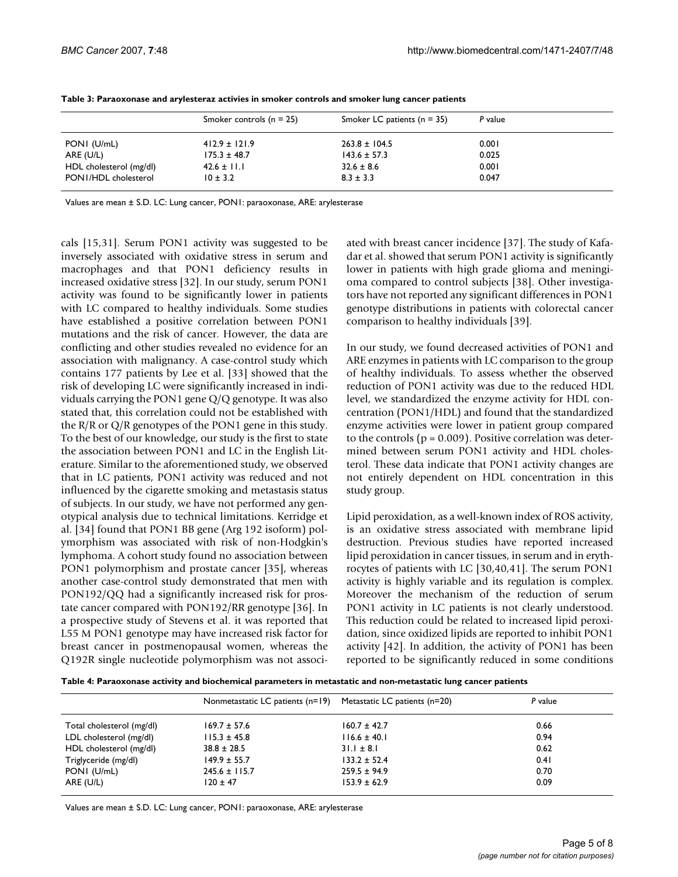|                         | Smoker controls $(n = 25)$ | Smoker LC patients $(n = 35)$ | P value |
|-------------------------|----------------------------|-------------------------------|---------|
| PONI (U/mL)             | $412.9 \pm 121.9$          | $263.8 \pm 104.5$             | 0.001   |
| ARE (U/L)               | $175.3 \pm 48.7$           | $143.6 \pm 57.3$              | 0.025   |
| HDL cholesterol (mg/dl) | $42.6 \pm 11.1$            | $32.6 \pm 8.6$                | 0.001   |
| PONI/HDL cholesterol    | $10 \pm 3.2$               | $8.3 \pm 3.3$                 | 0.047   |

**Table 3: Paraoxonase and arylesteraz activies in smoker controls and smoker lung cancer patients**

Values are mean ± S.D. LC: Lung cancer, PON1: paraoxonase, ARE: arylesterase

cals [15,31]. Serum PON1 activity was suggested to be inversely associated with oxidative stress in serum and macrophages and that PON1 deficiency results in increased oxidative stress [32]. In our study, serum PON1 activity was found to be significantly lower in patients with LC compared to healthy individuals. Some studies have established a positive correlation between PON1 mutations and the risk of cancer. However, the data are conflicting and other studies revealed no evidence for an association with malignancy. A case-control study which contains 177 patients by Lee et al. [33] showed that the risk of developing LC were significantly increased in individuals carrying the PON1 gene Q/Q genotype. It was also stated that, this correlation could not be established with the R/R or Q/R genotypes of the PON1 gene in this study. To the best of our knowledge, our study is the first to state the association between PON1 and LC in the English Literature. Similar to the aforementioned study, we observed that in LC patients, PON1 activity was reduced and not influenced by the cigarette smoking and metastasis status of subjects. In our study, we have not performed any genotypical analysis due to technical limitations. Kerridge et al. [34] found that PON1 BB gene (Arg 192 isoform) polymorphism was associated with risk of non-Hodgkin's lymphoma. A cohort study found no association between PON1 polymorphism and prostate cancer [35], whereas another case-control study demonstrated that men with PON192/QQ had a significantly increased risk for prostate cancer compared with PON192/RR genotype [36]. In a prospective study of Stevens et al. it was reported that L55 M PON1 genotype may have increased risk factor for breast cancer in postmenopausal women, whereas the Q192R single nucleotide polymorphism was not associated with breast cancer incidence [37]. The study of Kafadar et al. showed that serum PON1 activity is significantly lower in patients with high grade glioma and meningioma compared to control subjects [38]. Other investigators have not reported any significant differences in PON1 genotype distributions in patients with colorectal cancer comparison to healthy individuals [39].

In our study, we found decreased activities of PON1 and ARE enzymes in patients with LC comparison to the group of healthy individuals. To assess whether the observed reduction of PON1 activity was due to the reduced HDL level, we standardized the enzyme activity for HDL concentration (PON1/HDL) and found that the standardized enzyme activities were lower in patient group compared to the controls ( $p = 0.009$ ). Positive correlation was determined between serum PON1 activity and HDL cholesterol. These data indicate that PON1 activity changes are not entirely dependent on HDL concentration in this study group.

Lipid peroxidation, as a well-known index of ROS activity, is an oxidative stress associated with membrane lipid destruction. Previous studies have reported increased lipid peroxidation in cancer tissues, in serum and in erythrocytes of patients with LC [30,40,41]. The serum PON1 activity is highly variable and its regulation is complex. Moreover the mechanism of the reduction of serum PON1 activity in LC patients is not clearly understood. This reduction could be related to increased lipid peroxidation, since oxidized lipids are reported to inhibit PON1 activity [42]. In addition, the activity of PON1 has been reported to be significantly reduced in some conditions

**Table 4: Paraoxonase activity and biochemical parameters in metastatic and non-metastatic lung cancer patients**

|                           | Nonmetastatic LC patients (n=19) | Metastatic LC patients (n=20) | P value |
|---------------------------|----------------------------------|-------------------------------|---------|
| Total cholesterol (mg/dl) | $169.7 \pm 57.6$                 | $160.7 \pm 42.7$              | 0.66    |
| LDL cholesterol (mg/dl)   | $115.3 \pm 45.8$                 | $116.6 \pm 40.1$              | 0.94    |
| HDL cholesterol (mg/dl)   | $38.8 \pm 28.5$                  | $31.1 \pm 8.1$                | 0.62    |
| Triglyceride (mg/dl)      | $149.9 \pm 55.7$                 | $133.2 \pm 52.4$              | 0.41    |
| PONI (U/mL)               | $245.6 \pm 115.7$                | $259.5 \pm 94.9$              | 0.70    |
| ARE (U/L)                 | $120 \pm 47$                     | $153.9 \pm 62.9$              | 0.09    |

Values are mean ± S.D. LC: Lung cancer, PON1: paraoxonase, ARE: arylesterase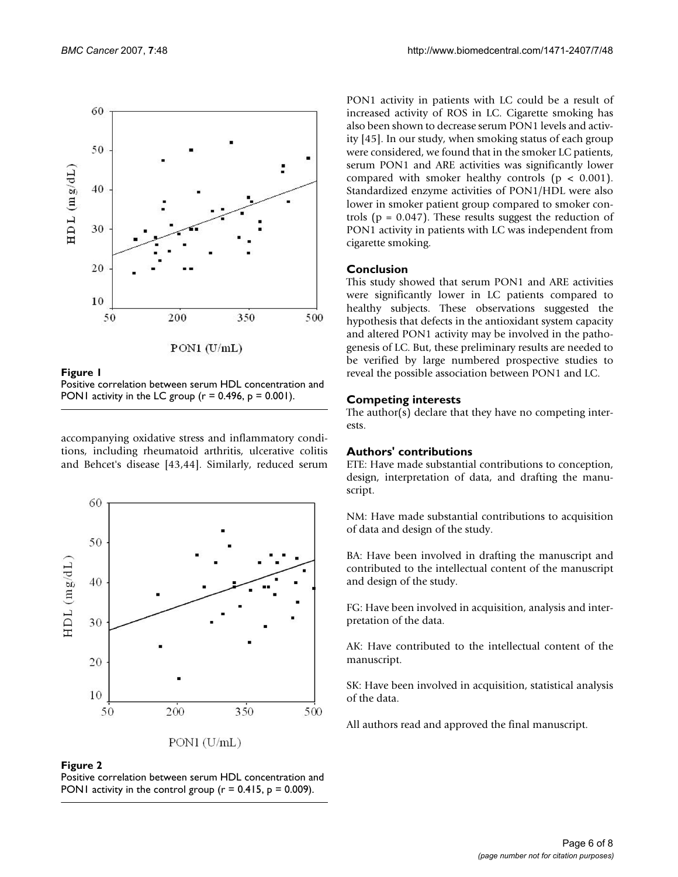

**Figure 1** Positive correlation between serum HDL concentration and PON1 activity in the LC group ( $r = 0.496$ ,  $p = 0.001$ ).

accompanying oxidative stress and inflammatory conditions, including rheumatoid arthritis, ulcerative colitis and Behcet's disease [43,44]. Similarly, reduced serum





PON1 activity in patients with LC could be a result of increased activity of ROS in LC. Cigarette smoking has also been shown to decrease serum PON1 levels and activity [45]. In our study, when smoking status of each group were considered, we found that in the smoker LC patients, serum PON1 and ARE activities was significantly lower compared with smoker healthy controls ( $p < 0.001$ ). Standardized enzyme activities of PON1/HDL were also lower in smoker patient group compared to smoker controls ( $p = 0.047$ ). These results suggest the reduction of PON1 activity in patients with LC was independent from cigarette smoking.

# **Conclusion**

This study showed that serum PON1 and ARE activities were significantly lower in LC patients compared to healthy subjects. These observations suggested the hypothesis that defects in the antioxidant system capacity and altered PON1 activity may be involved in the pathogenesis of LC. But, these preliminary results are needed to be verified by large numbered prospective studies to reveal the possible association between PON1 and LC.

# **Competing interests**

The author( $\overline{s}$ ) declare that they have no competing interests.

# **Authors' contributions**

ETE: Have made substantial contributions to conception, design, interpretation of data, and drafting the manuscript.

NM: Have made substantial contributions to acquisition of data and design of the study.

BA: Have been involved in drafting the manuscript and contributed to the intellectual content of the manuscript and design of the study.

FG: Have been involved in acquisition, analysis and interpretation of the data.

AK: Have contributed to the intellectual content of the manuscript.

SK: Have been involved in acquisition, statistical analysis of the data.

All authors read and approved the final manuscript.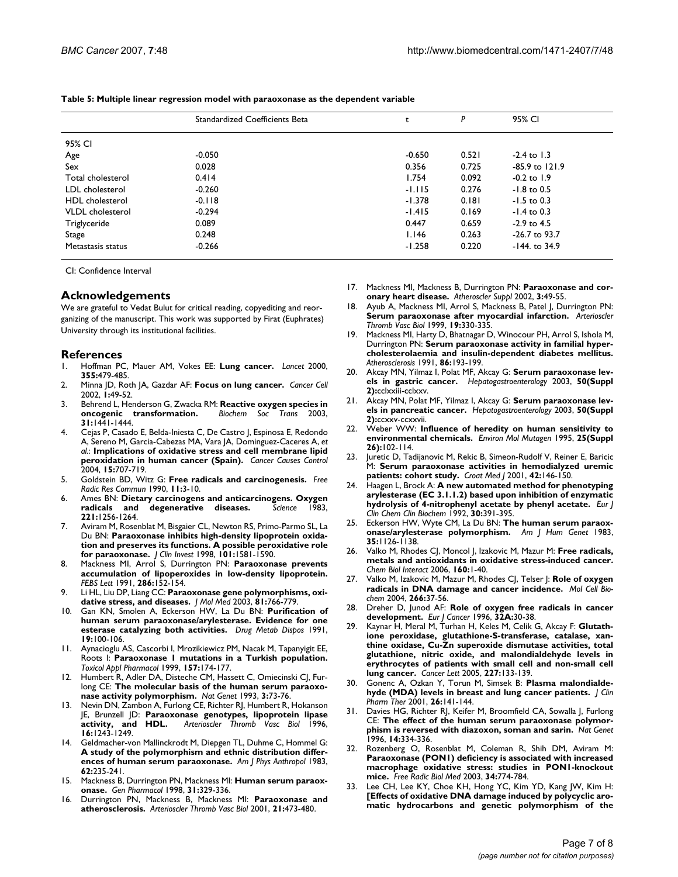|                         | Standardized Coefficients Beta |          | P     | 95% CI           |
|-------------------------|--------------------------------|----------|-------|------------------|
| 95% CI                  |                                |          |       |                  |
| Age                     | $-0.050$                       | $-0.650$ | 0.521 | $-2.4$ to 1.3    |
| Sex                     | 0.028                          | 0.356    | 0.725 | -85.9 to 121.9   |
| Total cholesterol       | 0.414                          | 1.754    | 0.092 | $-0.2$ to 1.9    |
| LDL cholesterol         | $-0.260$                       | $-1.115$ | 0.276 | $-1.8$ to 0.5    |
| <b>HDL</b> cholesterol  | $-0.118$                       | $-1.378$ | 0.181 | $-1.5$ to 0.3    |
| <b>VLDL</b> cholesterol | $-0.294$                       | $-1.415$ | 0.169 | $-1.4$ to 0.3    |
| Triglyceride            | 0.089                          | 0.447    | 0.659 | $-2.9$ to 4.5    |
| Stage                   | 0.248                          | 1.146    | 0.263 | $-26.7$ to 93.7  |
| Metastasis status       | $-0.266$                       | $-1.258$ | 0.220 | $-144$ . to 34.9 |

**Table 5: Multiple linear regression model with paraoxonase as the dependent variable**

CI: Confidence Interval

#### **Acknowledgements**

We are grateful to Vedat Bulut for critical reading, copyediting and reorganizing of the manuscript. This work was supported by Firat (Euphrates) University through its institutional facilities.

#### **References**

- 1. Hoffman PC, Mauer AM, Vokes EE: **[Lung cancer.](http://www.ncbi.nlm.nih.gov/entrez/query.fcgi?cmd=Retrieve&db=PubMed&dopt=Abstract&list_uids=10841143)** *Lancet* 2000, **355:**479-485.
- 2. Minna JD, Roth JA, Gazdar AF: **[Focus on lung cancer.](http://www.ncbi.nlm.nih.gov/entrez/query.fcgi?cmd=Retrieve&db=PubMed&dopt=Abstract&list_uids=12086887)** *Cancer Cell* 2002, **1:**49-52.
- 3. Behrend L, Henderson G, Zwacka RM: **[Reactive oxygen species in](http://www.ncbi.nlm.nih.gov/entrez/query.fcgi?cmd=Retrieve&db=PubMed&dopt=Abstract&list_uids=14641084) [oncogenic transformation.](http://www.ncbi.nlm.nih.gov/entrez/query.fcgi?cmd=Retrieve&db=PubMed&dopt=Abstract&list_uids=14641084)** *Biochem Soc Trans* 2003, **31:**1441-1444.
- 4. Cejas P, Casado E, Belda-Iniesta C, De Castro J, Espinosa E, Redondo A, Sereno M, Garcia-Cabezas MA, Vara JA, Dominguez-Caceres A, *et al.*: **[Implications of oxidative stress and cell membrane lipid](http://www.ncbi.nlm.nih.gov/entrez/query.fcgi?cmd=Retrieve&db=PubMed&dopt=Abstract&list_uids=15280629) [peroxidation in human cancer \(Spain\).](http://www.ncbi.nlm.nih.gov/entrez/query.fcgi?cmd=Retrieve&db=PubMed&dopt=Abstract&list_uids=15280629)** *Cancer Causes Control* 2004, **15:**707-719.
- 5. Goldstein BD, Witz G: **[Free radicals and carcinogenesis.](http://www.ncbi.nlm.nih.gov/entrez/query.fcgi?cmd=Retrieve&db=PubMed&dopt=Abstract&list_uids=2074048)** *Free Radic Res Commun* 1990, **11:**3-10.
- 6. Ames BN: **[Dietary carcinogens and anticarcinogens. Oxygen](http://www.ncbi.nlm.nih.gov/entrez/query.fcgi?cmd=Retrieve&db=PubMed&dopt=Abstract&list_uids=6351251) [radicals and degenerative diseases.](http://www.ncbi.nlm.nih.gov/entrez/query.fcgi?cmd=Retrieve&db=PubMed&dopt=Abstract&list_uids=6351251)** *Science* 1983, **221:**1256-1264.
- 7. Aviram M, Rosenblat M, Bisgaier CL, Newton RS, Primo-Parmo SL, La Du BN: **[Paraoxonase inhibits high-density lipoprotein oxida](http://www.ncbi.nlm.nih.gov/entrez/query.fcgi?cmd=Retrieve&db=PubMed&dopt=Abstract&list_uids=9541487)[tion and preserves its functions. A possible peroxidative role](http://www.ncbi.nlm.nih.gov/entrez/query.fcgi?cmd=Retrieve&db=PubMed&dopt=Abstract&list_uids=9541487) [for paraoxonase.](http://www.ncbi.nlm.nih.gov/entrez/query.fcgi?cmd=Retrieve&db=PubMed&dopt=Abstract&list_uids=9541487)** *J Clin Invest* 1998, **101:**1581-1590.
- 8. Mackness MI, Arrol S, Durrington PN: **[Paraoxonase prevents](http://www.ncbi.nlm.nih.gov/entrez/query.fcgi?cmd=Retrieve&db=PubMed&dopt=Abstract&list_uids=1650712) [accumulation of lipoperoxides in low-density lipoprotein.](http://www.ncbi.nlm.nih.gov/entrez/query.fcgi?cmd=Retrieve&db=PubMed&dopt=Abstract&list_uids=1650712)** *FEBS Lett* 1991, **286:**152-154.
- 9. Li HL, Liu DP, Liang CC: **[Paraoxonase gene polymorphisms, oxi](http://www.ncbi.nlm.nih.gov/entrez/query.fcgi?cmd=Retrieve&db=PubMed&dopt=Abstract&list_uids=14551701)[dative stress, and diseases.](http://www.ncbi.nlm.nih.gov/entrez/query.fcgi?cmd=Retrieve&db=PubMed&dopt=Abstract&list_uids=14551701)** *J Mol Med* 2003, **81:**766-779.
- 10. Gan KN, Smolen A, Eckerson HW, La Du BN: **[Purification of](http://www.ncbi.nlm.nih.gov/entrez/query.fcgi?cmd=Retrieve&db=PubMed&dopt=Abstract&list_uids=1673382) [human serum paraoxonase/arylesterase. Evidence for one](http://www.ncbi.nlm.nih.gov/entrez/query.fcgi?cmd=Retrieve&db=PubMed&dopt=Abstract&list_uids=1673382) [esterase catalyzing both activities.](http://www.ncbi.nlm.nih.gov/entrez/query.fcgi?cmd=Retrieve&db=PubMed&dopt=Abstract&list_uids=1673382)** *Drug Metab Dispos* 1991, **19:**100-106.
- 11. Aynacioglu AS, Cascorbi I, Mrozikiewicz PM, Nacak M, Tapanyigit EE, Roots I: **[Paraoxonase 1 mutations in a Turkish population.](http://www.ncbi.nlm.nih.gov/entrez/query.fcgi?cmd=Retrieve&db=PubMed&dopt=Abstract&list_uids=10373401)** *Toxicol Appl Pharmacol* 1999, **157:**174-177.
- Humbert R, Adler DA, Disteche CM, Hassett C, Omiecinski CJ, Furlong CE: **[The molecular basis of the human serum paraoxo](http://www.ncbi.nlm.nih.gov/entrez/query.fcgi?cmd=Retrieve&db=PubMed&dopt=Abstract&list_uids=8098250)[nase activity polymorphism.](http://www.ncbi.nlm.nih.gov/entrez/query.fcgi?cmd=Retrieve&db=PubMed&dopt=Abstract&list_uids=8098250)** *Nat Genet* 1993, **3:**73-76.
- 13. Nevin DN, Zambon A, Furlong CE, Richter RJ, Humbert R, Hokanson JE, Brunzell JD: **[Paraoxonase genotypes, lipoprotein lipase](http://www.ncbi.nlm.nih.gov/entrez/query.fcgi?cmd=Retrieve&db=PubMed&dopt=Abstract&list_uids=8857920) [activity, and HDL.](http://www.ncbi.nlm.nih.gov/entrez/query.fcgi?cmd=Retrieve&db=PubMed&dopt=Abstract&list_uids=8857920)** *Arterioscler Thromb Vasc Biol* 1996, **16:**1243-1249.
- 14. Geldmacher-von Mallinckrodt M, Diepgen TL, Duhme C, Hommel G: **[A study of the polymorphism and ethnic distribution differ](http://www.ncbi.nlm.nih.gov/entrez/query.fcgi?cmd=Retrieve&db=PubMed&dopt=Abstract&list_uids=6318563)[ences of human serum paraoxonase.](http://www.ncbi.nlm.nih.gov/entrez/query.fcgi?cmd=Retrieve&db=PubMed&dopt=Abstract&list_uids=6318563)** *Am J Phys Anthropol* 1983, **62:**235-241.
- 15. Mackness B, Durrington PN, Mackness MI: **[Human serum paraox](http://www.ncbi.nlm.nih.gov/entrez/query.fcgi?cmd=Retrieve&db=PubMed&dopt=Abstract&list_uids=9703197)[onase.](http://www.ncbi.nlm.nih.gov/entrez/query.fcgi?cmd=Retrieve&db=PubMed&dopt=Abstract&list_uids=9703197)** *Gen Pharmacol* 1998, **31:**329-336.
- 16. Durrington PN, Mackness B, Mackness MI: **[Paraoxonase and](http://www.ncbi.nlm.nih.gov/entrez/query.fcgi?cmd=Retrieve&db=PubMed&dopt=Abstract&list_uids=11304460) [atherosclerosis.](http://www.ncbi.nlm.nih.gov/entrez/query.fcgi?cmd=Retrieve&db=PubMed&dopt=Abstract&list_uids=11304460)** *Arterioscler Thromb Vasc Biol* 2001, **21:**473-480.
- 17. Mackness MI, Mackness B, Durrington PN: **[Paraoxonase and cor](http://www.ncbi.nlm.nih.gov/entrez/query.fcgi?cmd=Retrieve&db=PubMed&dopt=Abstract&list_uids=12573363)[onary heart disease.](http://www.ncbi.nlm.nih.gov/entrez/query.fcgi?cmd=Retrieve&db=PubMed&dopt=Abstract&list_uids=12573363)** *Atheroscler Suppl* 2002, **3:**49-55.
- 18. Ayub A, Mackness MI, Arrol S, Mackness B, Patel J, Durrington PN: **[Serum paraoxonase after myocardial infarction.](http://www.ncbi.nlm.nih.gov/entrez/query.fcgi?cmd=Retrieve&db=PubMed&dopt=Abstract&list_uids=9974415)** *Arterioscler Thromb Vasc Biol* 1999, **19:**330-335.
- 19. Mackness MI, Harty D, Bhatnagar D, Winocour PH, Arrol S, Ishola M, Durrington PN: **[Serum paraoxonase activity in familial hyper](http://www.ncbi.nlm.nih.gov/entrez/query.fcgi?cmd=Retrieve&db=PubMed&dopt=Abstract&list_uids=1651732)[cholesterolaemia and insulin-dependent diabetes mellitus.](http://www.ncbi.nlm.nih.gov/entrez/query.fcgi?cmd=Retrieve&db=PubMed&dopt=Abstract&list_uids=1651732)** *Atherosclerosis* 1991, **86:**193-199.
- 20. Akcay MN, Yilmaz I, Polat MF, Akcay G: **[Serum paraoxonase lev](http://www.ncbi.nlm.nih.gov/entrez/query.fcgi?cmd=Retrieve&db=PubMed&dopt=Abstract&list_uids=15244199)[els in gastric cancer.](http://www.ncbi.nlm.nih.gov/entrez/query.fcgi?cmd=Retrieve&db=PubMed&dopt=Abstract&list_uids=15244199)** *Hepatogastroenterology* 2003, **50(Suppl 2):**cclxxiii-cclxxv.
- 21. Akcay MN, Polat MF, Yilmaz I, Akcay G: **[Serum paraoxonase lev](http://www.ncbi.nlm.nih.gov/entrez/query.fcgi?cmd=Retrieve&db=PubMed&dopt=Abstract&list_uids=15244186)[els in pancreatic cancer.](http://www.ncbi.nlm.nih.gov/entrez/query.fcgi?cmd=Retrieve&db=PubMed&dopt=Abstract&list_uids=15244186)** *Hepatogastroenterology* 2003, **50(Suppl 2):**ccxxv-ccxxvii.
- 22. Weber WW: **[Influence of heredity on human sensitivity to](http://www.ncbi.nlm.nih.gov/entrez/query.fcgi?cmd=Retrieve&db=PubMed&dopt=Abstract&list_uids=7789356) [environmental chemicals.](http://www.ncbi.nlm.nih.gov/entrez/query.fcgi?cmd=Retrieve&db=PubMed&dopt=Abstract&list_uids=7789356)** *Environ Mol Mutagen* 1995, **25(Suppl 26):**102-114.
- 23. Juretic D, Tadijanovic M, Rekic B, Simeon-Rudolf V, Reiner E, Baricic M: **[Serum paraoxonase activities in hemodialyzed uremic](http://www.ncbi.nlm.nih.gov/entrez/query.fcgi?cmd=Retrieve&db=PubMed&dopt=Abstract&list_uids=11259735) [patients: cohort study.](http://www.ncbi.nlm.nih.gov/entrez/query.fcgi?cmd=Retrieve&db=PubMed&dopt=Abstract&list_uids=11259735)** *Croat Med J* 2001, **42:**146-150.
- 24. Haagen L, Brock A: **[A new automated method for phenotyping](http://www.ncbi.nlm.nih.gov/entrez/query.fcgi?cmd=Retrieve&db=PubMed&dopt=Abstract&list_uids=1525262) [arylesterase \(EC 3.1.1.2\) based upon inhibition of enzymatic](http://www.ncbi.nlm.nih.gov/entrez/query.fcgi?cmd=Retrieve&db=PubMed&dopt=Abstract&list_uids=1525262) [hydrolysis of 4-nitrophenyl acetate by phenyl acetate.](http://www.ncbi.nlm.nih.gov/entrez/query.fcgi?cmd=Retrieve&db=PubMed&dopt=Abstract&list_uids=1525262)** *Eur J Clin Chem Clin Biochem* 1992, **30:**391-395.
- 25. Eckerson HW, Wyte CM, La Du BN: **[The human serum paraox](http://www.ncbi.nlm.nih.gov/entrez/query.fcgi?cmd=Retrieve&db=PubMed&dopt=Abstract&list_uids=6316781)[onase/arylesterase polymorphism.](http://www.ncbi.nlm.nih.gov/entrez/query.fcgi?cmd=Retrieve&db=PubMed&dopt=Abstract&list_uids=6316781)** *Am J Hum Genet* 1983, **35:**1126-1138.
- 26. Valko M, Rhodes CJ, Moncol J, Izakovic M, Mazur M: **[Free radicals,](http://www.ncbi.nlm.nih.gov/entrez/query.fcgi?cmd=Retrieve&db=PubMed&dopt=Abstract&list_uids=16430879) [metals and antioxidants in oxidative stress-induced cancer.](http://www.ncbi.nlm.nih.gov/entrez/query.fcgi?cmd=Retrieve&db=PubMed&dopt=Abstract&list_uids=16430879)** *Chem Biol Interact* 2006, **160:**1-40.
- 27. Valko M, Izakovic M, Mazur M, Rhodes CJ, Telser J: **[Role of oxygen](http://www.ncbi.nlm.nih.gov/entrez/query.fcgi?cmd=Retrieve&db=PubMed&dopt=Abstract&list_uids=15646026) [radicals in DNA damage and cancer incidence.](http://www.ncbi.nlm.nih.gov/entrez/query.fcgi?cmd=Retrieve&db=PubMed&dopt=Abstract&list_uids=15646026)** *Mol Cell Biochem* 2004, **266:**37-56.
- 28. Dreher D, Junod AF: **[Role of oxygen free radicals in cancer](http://www.ncbi.nlm.nih.gov/entrez/query.fcgi?cmd=Retrieve&db=PubMed&dopt=Abstract&list_uids=8695238) [development.](http://www.ncbi.nlm.nih.gov/entrez/query.fcgi?cmd=Retrieve&db=PubMed&dopt=Abstract&list_uids=8695238)** *Eur J Cancer* 1996, **32A:**30-38.
- 29. Kaynar H, Meral M, Turhan H, Keles M, Celik G, Akcay F: **[Glutath](http://www.ncbi.nlm.nih.gov/entrez/query.fcgi?cmd=Retrieve&db=PubMed&dopt=Abstract&list_uids=16112416)ione peroxidase, glutathione-S-transferase, catalase, xan[thine oxidase, Cu-Zn superoxide dismutase activities, total](http://www.ncbi.nlm.nih.gov/entrez/query.fcgi?cmd=Retrieve&db=PubMed&dopt=Abstract&list_uids=16112416) glutathione, nitric oxide, and malondialdehyde levels in erythrocytes of patients with small cell and non-small cell [lung cancer.](http://www.ncbi.nlm.nih.gov/entrez/query.fcgi?cmd=Retrieve&db=PubMed&dopt=Abstract&list_uids=16112416)** *Cancer Lett* 2005, **227:**133-139.
- 30. Gonenc A, Ozkan Y, Torun M, Simsek B: **[Plasma malondialde](http://www.ncbi.nlm.nih.gov/entrez/query.fcgi?cmd=Retrieve&db=PubMed&dopt=Abstract&list_uids=11350537)[hyde \(MDA\) levels in breast and lung cancer patients.](http://www.ncbi.nlm.nih.gov/entrez/query.fcgi?cmd=Retrieve&db=PubMed&dopt=Abstract&list_uids=11350537)** *J Clin Pharm Ther* 2001, **26:**141-144.
- 31. Davies HG, Richter RJ, Keifer M, Broomfield CA, Sowalla J, Furlong CE: **[The effect of the human serum paraoxonase polymor](http://www.ncbi.nlm.nih.gov/entrez/query.fcgi?cmd=Retrieve&db=PubMed&dopt=Abstract&list_uids=8896566)[phism is reversed with diazoxon, soman and sarin.](http://www.ncbi.nlm.nih.gov/entrez/query.fcgi?cmd=Retrieve&db=PubMed&dopt=Abstract&list_uids=8896566)** *Nat Genet* 1996, **14:**334-336.
- 32. Rozenberg O, Rosenblat M, Coleman R, Shih DM, Aviram M: **[Paraoxonase \(PON1\) deficiency is associated with increased](http://www.ncbi.nlm.nih.gov/entrez/query.fcgi?cmd=Retrieve&db=PubMed&dopt=Abstract&list_uids=12633754) macrophage oxidative stress: studies in PON1-knockout [mice.](http://www.ncbi.nlm.nih.gov/entrez/query.fcgi?cmd=Retrieve&db=PubMed&dopt=Abstract&list_uids=12633754)** *Free Radic Biol Med* 2003, **34:**774-784.
- Lee CH, Lee KY, Choe KH, Hong YC, Kim YD, Kang JW, Kim H: **[\[Effects of oxidative DNA damage induced by polycyclic aro](http://www.ncbi.nlm.nih.gov/entrez/query.fcgi?cmd=Retrieve&db=PubMed&dopt=Abstract&list_uids=16323636)[matic hydrocarbons and genetic polymorphism of the](http://www.ncbi.nlm.nih.gov/entrez/query.fcgi?cmd=Retrieve&db=PubMed&dopt=Abstract&list_uids=16323636)**